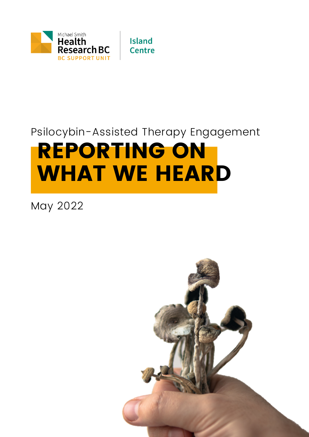

**Island Centre** 

### REPORTING ON WHAT WE HEARD Psilocybin-Assisted Therapy Engagement

May 2022

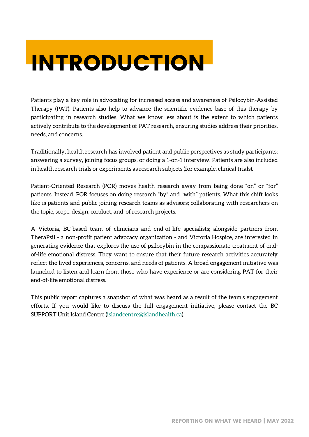### INTRODUCTION

Patients play a key role in advocating for increased access and awareness of Psilocybin-Assisted Therapy (PAT). Patients also help to advance the scientific evidence base of this therapy by participating in research studies. What we know less about is the extent to which patients actively contribute to the development of PAT research, ensuring studies address their priorities, needs, and concerns.

Traditionally, health research has involved patient and public perspectives as study participants; answering a survey, joining focus groups, or doing a 1-on-1 interview. Patients are also included in health research trials or experiments as research subjects (for example, clinical trials).

Patient-Oriented Research (POR) moves health research away from being done "on" or "for" patients. Instead, POR focuses on doing research "by" and "with" patients. What this shift looks like is patients and public joining research teams as advisors; collaborating with researchers on the topic, scope, design, conduct, and of research projects.

A Victoria, BC-based team of clinicians and end-of-life specialists; alongside partners from [TheraPsil](https://therapsil.ca/about/) - a non-profit patient advocacy organization - and [Victoria](https://victoriahospice.org/) Hospice, are interested in generating evidence that explores the use of psilocybin in the compassionate treatment of endof-life emotional distress. They want to ensure that their future research activities accurately reflect the lived experiences, concerns, and needs of patients. A broad engagement initiative was launched to listen and learn from those who have experience or are considering PAT for their end-of-life emotional distress.

This public report captures a snapshot of what was heard as a result of the team's engagement efforts. If you would like to discuss the full engagement initiative, please contact the BC SUPPORT Unit Island Centre ([islandcentre@islandhealth.ca\)](mailto:islandcentre@islandhealth.ca).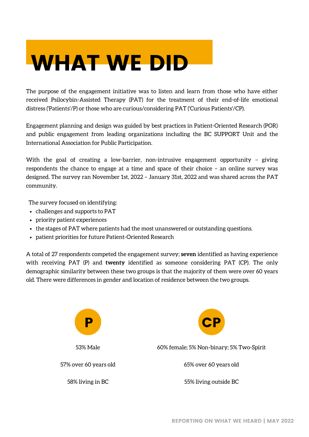### WHAT WE DID

The purpose of the engagement initiative was to listen and learn from those who have either received Psilocybin-Assisted Therapy (PAT) for the treatment of their end-of-life emotional distress ('Patients'/P) or those who are curious/considering PAT ('Curious Patients'/CP).

Engagement planning and design was guided by best practices in Patient-Oriented Research (POR) and public engagement from leading organizations including the BC SUPPORT Unit and the International Association for Public Participation.

With the goal of creating a low-barrier, non-intrusive engagement opportunity – giving respondents the chance to engage at a time and space of their choice – an online survey was designed. The survey ran November 1st, 2022 – January 31st, 2022 and was shared across the PAT community.

The survey focused on identifying:

- challenges and supports to PAT
- priority patient experiences
- the stages of PAT where patients had the most unanswered or outstanding questions.
- patient priorities for future Patient-Oriented Research

A total of 27 respondents competed the engagement survey; **seven** identified as having experience with receiving PAT (P) and **twenty** identified as someone considering PAT (CP). The only demographic similarity between these two groups is that the majority of them were over 60 years old. There were differences in gender and location of residence between the two groups.

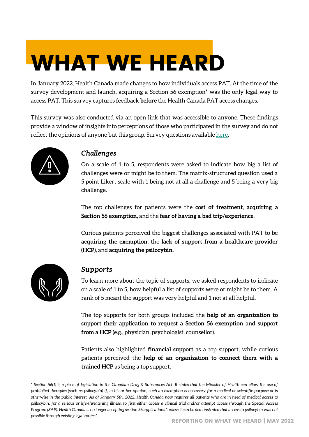# WHAT WE HEARD

In January 2022, Health Canada made changes to how individuals access PAT. At the time of the survey development and launch, acquiring a Section 56 exemption\* was the only legal way to access PAT. This survey captures feedback **before** the Health Canada PAT access changes.

This survey was also conducted via an open link that was accessible to anyone. These findings provide a window of insights into perceptions of those who participated in the survey and do not reflect the opinions of anyone but this group. Survey questions available [here](https://docs.google.com/document/d/e/2PACX-1vTtgsMD0VzsJC0a5ha1ile8GAIBfOwLKAVF-kvx93lnDI0ceNfwE8IH_5_8QFUbnDKeKeZ6pjpn8exY/pub).



#### *Challenges*

On a scale of 1 to 5, respondents were asked to indicate how big a list of challenges were or might be to them. The matrix-structured question used a 5 point Likert scale with 1 being not at all a challenge and 5 being a very big challenge.

The top challenges for patients were the **cost of treatment**, **acquiring a Section 56 exemption**, and the **fear of having a bad trip/experience**.

Curious patients perceived the biggest challenges associated with PAT to be **acquiring the exemption**, the **lack of support from a healthcare provider (HCP)**, and **acquiring the psilocybin.**



#### *Supports*

To learn more about the topic of supports, we asked respondents to indicate on a scale of 1 to 5, how helpful a list of supports were or might be to them. A rank of 5 meant the support was very helpful and 1 not at all helpful.

The top supports for both groups included the **help of an organization to support their application to request a Section 56 exemption** and **support from a HCP** (e.g., physician, psychologist, counsellor).

Patients also highlighted **financial support** as a top support; while curious patients perceived the **help of an organization to connect them with a trained HCP** as being a top support.

*\* Section 56(1) is a piece of legislation in the Canadian Drug & Substances Act. It states that the Minister of Health can allow the use of prohibited therapies (such as psilocybin) if, in his or her opinion, such an exemption is necessary for a medical or scientific purpose or is otherwise in the public interest. As of January 5th, 2022, Health Canada now requires all patients who are in need of medical access to psilocybin, for a serious or life-threatening illness, to first either access a clinical trial and/or attempt access through the Special Access Program (SAP). Health Canada is no longer accepting section 56 applications "unless it can be demonstrated that access to psilocybin was not possible through existing legal routes".*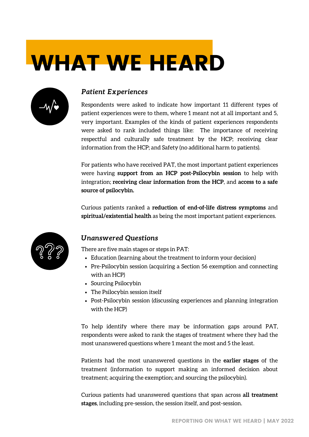# WHAT WE HEARD



#### *Patient Experiences*

Respondents were asked to indicate how important 11 different types of patient experiences were to them, where 1 meant not at all important and 5, very important. Examples of the kinds of patient experiences respondents were asked to rank included things like: The importance of receiving respectful and culturally safe treatment by the HCP; receiving clear information from the HCP; and Safety (no additional harm to patients).

For patients who have received PAT, the most important patient experiences were having **support from an HCP post-Psilocybin session** to help with integration; **receiving clear information from the HCP**, and **access to a safe source of psilocybin.**

Curious patients ranked a **reduction of end-of-life distress symptoms** and **spiritual/existential health** as being the most important patient experiences.



#### *Unanswered Questions*

There are five main stages or steps in PAT:

- Education (learning about the treatment to inform your decision)
- Pre-Psilocybin session (acquiring a Section 56 exemption and connecting with an HCP)
- Sourcing Psilocybin
- The Psilocybin session itself
- Post-Psilocybin session (discussing experiences and planning integration with the HCP)

To help identify where there may be information gaps around PAT, respondents were asked to rank the stages of treatment where they had the most unanswered questions where 1 meant the most and 5 the least.

Patients had the most unanswered questions in the **earlier stages** of the treatment (information to support making an informed decision about treatment; acquiring the exemption; and sourcing the psilocybin).

Curious patients had unanswered questions that span across **all treatment stages**, including pre-session, the session itself, and post-session.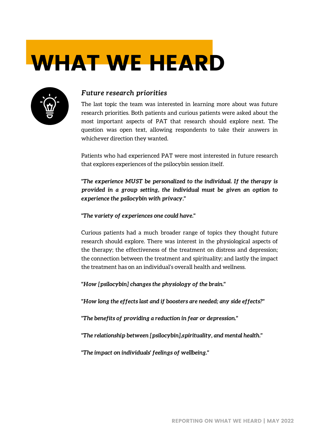# WHAT WE HEARD



#### *Future research priorities*

The last topic the team was interested in learning more about was future research priorities. Both patients and curious patients were asked about the most important aspects of PAT that research should explore next. The question was open text, allowing respondents to take their answers in whichever direction they wanted.

Patients who had experienced PAT were most interested in future research that explores experiences of the psilocybin session itself.

*"The experience MUST be personalized to the individual. If the therapy is provided in a group setting, the individual must be given an option to experience the psilocybin with privacy."*

*"The variety of experiences one could have."*

Curious patients had a much broader range of topics they thought future research should explore. There was interest in the physiological aspects of the therapy; the effectiveness of the treatment on distress and depression; the connection between the treatment and spirituality; and lastly the impact the treatment has on an individual's overall health and wellness.

*"How [psilocybin] changes the physiology of the brain."*

*"How long the effects last and if boosters are needed; any side effects?"*

*"The benefits of providing a reduction in fear or depression."*

*"The relationship between [psilocybin],spirituality, and mental health."*

*"The impact on individuals' feelings of wellbeing."*